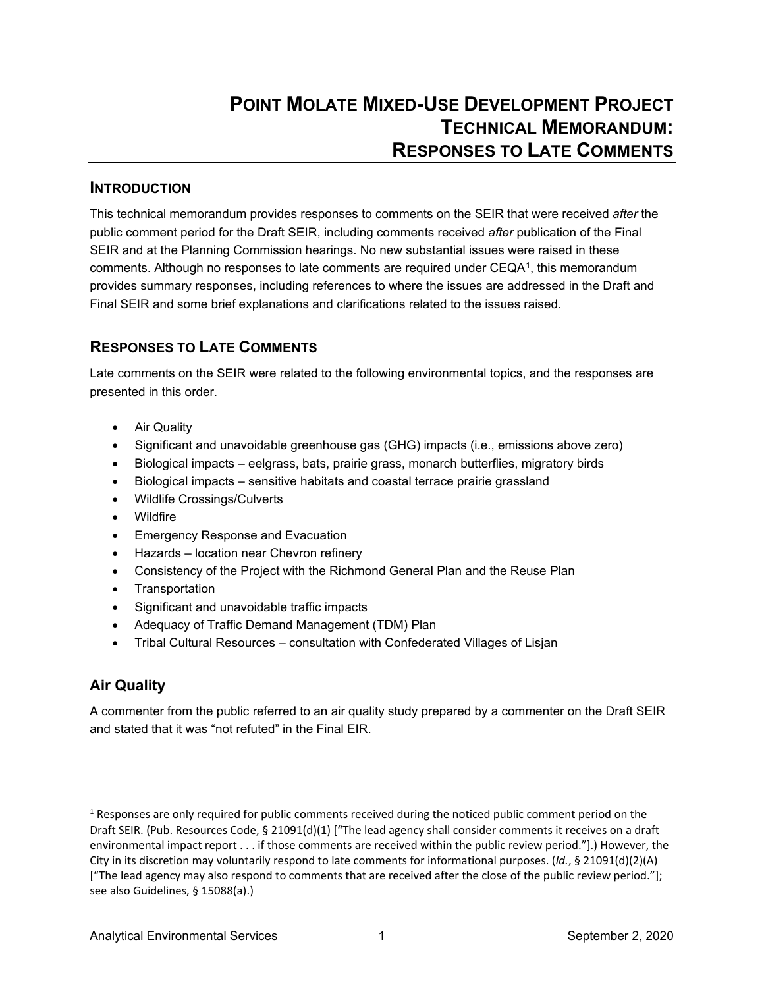#### **INTRODUCTION**

This technical memorandum provides responses to comments on the SEIR that were received *after* the public comment period for the Draft SEIR, including comments received *after* publication of the Final SEIR and at the Planning Commission hearings. No new substantial issues were raised in these comments. Although no responses to late comments are required under CEQA[1](#page-0-0), this memorandum provides summary responses, including references to where the issues are addressed in the Draft and Final SEIR and some brief explanations and clarifications related to the issues raised.

## **RESPONSES TO LATE COMMENTS**

Late comments on the SEIR were related to the following environmental topics, and the responses are presented in this order.

- Air Quality
- Significant and unavoidable greenhouse gas (GHG) impacts (i.e., emissions above zero)
- Biological impacts eelgrass, bats, prairie grass, monarch butterflies, migratory birds
- Biological impacts sensitive habitats and coastal terrace prairie grassland
- Wildlife Crossings/Culverts
- Wildfire
- Emergency Response and Evacuation
- Hazards location near Chevron refinery
- Consistency of the Project with the Richmond General Plan and the Reuse Plan
- Transportation
- Significant and unavoidable traffic impacts
- Adequacy of Traffic Demand Management (TDM) Plan
- Tribal Cultural Resources consultation with Confederated Villages of Lisjan

## **Air Quality**

A commenter from the public referred to an air quality study prepared by a commenter on the Draft SEIR and stated that it was "not refuted" in the Final EIR.

<span id="page-0-0"></span><sup>&</sup>lt;sup>1</sup> Responses are only required for public comments received during the noticed public comment period on the Draft SEIR. (Pub. Resources Code, § 21091(d)(1) ["The lead agency shall consider comments it receives on a draft environmental impact report . . . if those comments are received within the public review period."].) However, the City in its discretion may voluntarily respond to late comments for informational purposes. (*Id.*, § 21091(d)(2)(A) ["The lead agency may also respond to comments that are received after the close of the public review period."]; see also Guidelines, § 15088(a).)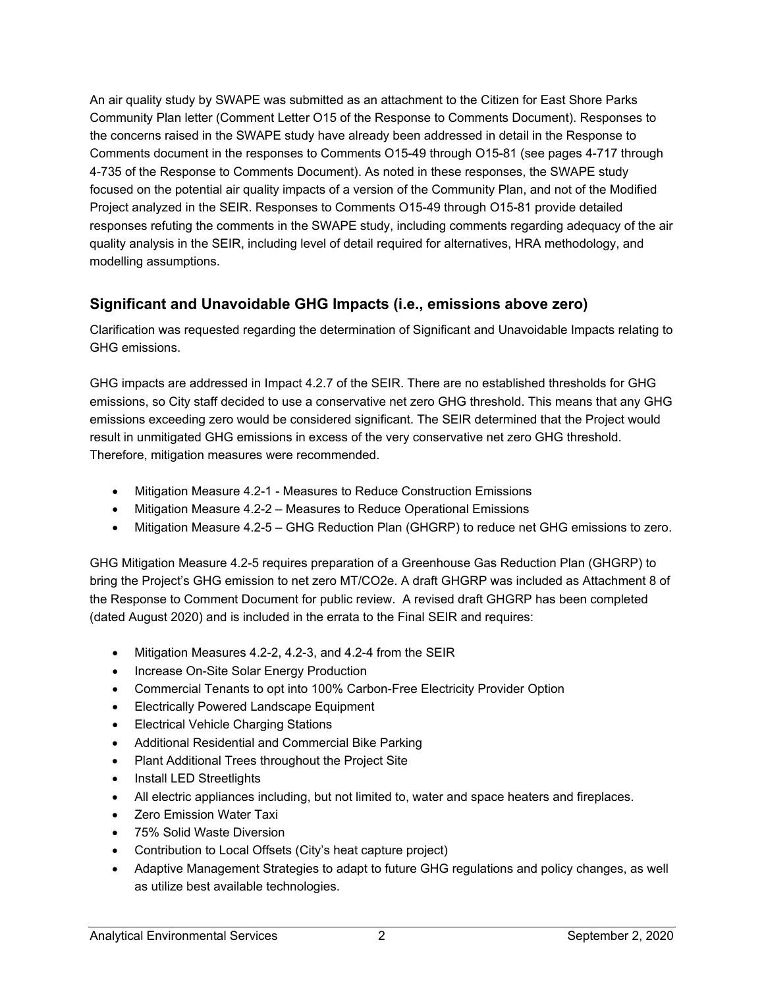An air quality study by SWAPE was submitted as an attachment to the Citizen for East Shore Parks Community Plan letter (Comment Letter O15 of the Response to Comments Document). Responses to the concerns raised in the SWAPE study have already been addressed in detail in the Response to Comments document in the responses to Comments O15-49 through O15-81 (see pages 4-717 through 4-735 of the Response to Comments Document). As noted in these responses, the SWAPE study focused on the potential air quality impacts of a version of the Community Plan, and not of the Modified Project analyzed in the SEIR. Responses to Comments O15-49 through O15-81 provide detailed responses refuting the comments in the SWAPE study, including comments regarding adequacy of the air quality analysis in the SEIR, including level of detail required for alternatives, HRA methodology, and modelling assumptions.

#### **Significant and Unavoidable GHG Impacts (i.e., emissions above zero)**

Clarification was requested regarding the determination of Significant and Unavoidable Impacts relating to GHG emissions.

GHG impacts are addressed in Impact 4.2.7 of the SEIR. There are no established thresholds for GHG emissions, so City staff decided to use a conservative net zero GHG threshold. This means that any GHG emissions exceeding zero would be considered significant. The SEIR determined that the Project would result in unmitigated GHG emissions in excess of the very conservative net zero GHG threshold. Therefore, mitigation measures were recommended.

- Mitigation Measure 4.2-1 Measures to Reduce Construction Emissions
- Mitigation Measure 4.2-2 Measures to Reduce Operational Emissions
- Mitigation Measure 4.2-5 GHG Reduction Plan (GHGRP) to reduce net GHG emissions to zero.

GHG Mitigation Measure 4.2-5 requires preparation of a Greenhouse Gas Reduction Plan (GHGRP) to bring the Project's GHG emission to net zero MT/CO2e. A draft GHGRP was included as Attachment 8 of the Response to Comment Document for public review. A revised draft GHGRP has been completed (dated August 2020) and is included in the errata to the Final SEIR and requires:

- Mitigation Measures 4.2-2, 4.2-3, and 4.2-4 from the SEIR
- Increase On-Site Solar Energy Production
- Commercial Tenants to opt into 100% Carbon-Free Electricity Provider Option
- Electrically Powered Landscape Equipment
- Electrical Vehicle Charging Stations
- Additional Residential and Commercial Bike Parking
- Plant Additional Trees throughout the Project Site
- Install LED Streetlights
- All electric appliances including, but not limited to, water and space heaters and fireplaces.
- Zero Emission Water Taxi
- 75% Solid Waste Diversion
- Contribution to Local Offsets (City's heat capture project)
- Adaptive Management Strategies to adapt to future GHG regulations and policy changes, as well as utilize best available technologies.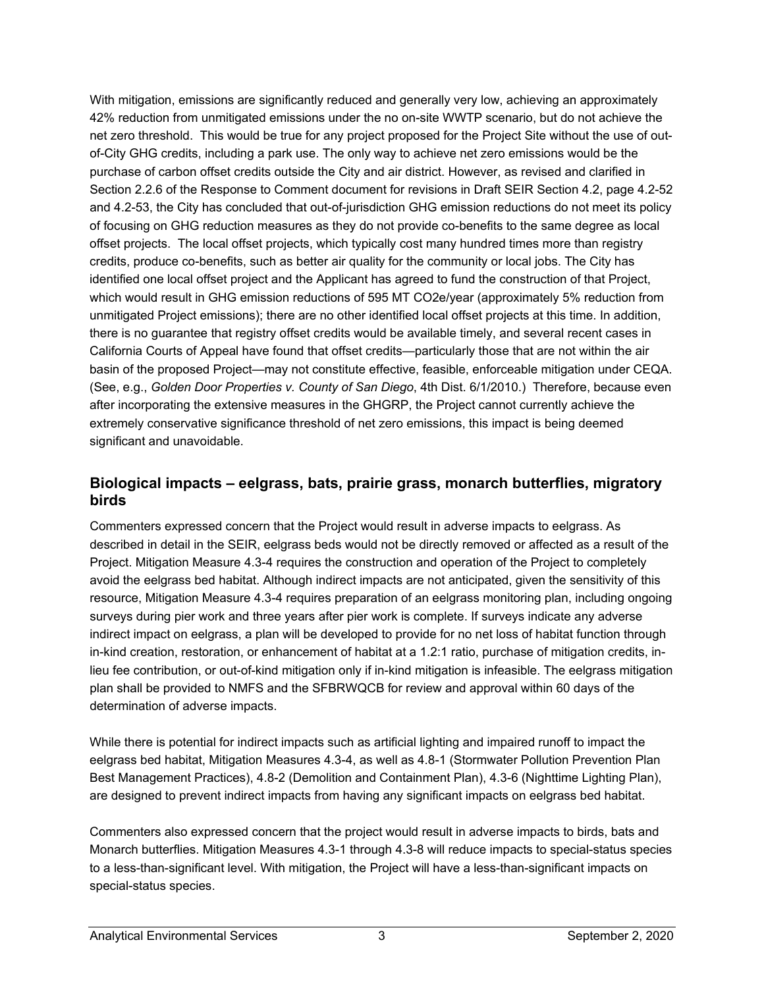With mitigation, emissions are significantly reduced and generally very low, achieving an approximately 42% reduction from unmitigated emissions under the no on-site WWTP scenario, but do not achieve the net zero threshold. This would be true for any project proposed for the Project Site without the use of outof-City GHG credits, including a park use. The only way to achieve net zero emissions would be the purchase of carbon offset credits outside the City and air district. However, as revised and clarified in Section 2.2.6 of the Response to Comment document for revisions in Draft SEIR Section 4.2, page 4.2-52 and 4.2-53, the City has concluded that out-of-jurisdiction GHG emission reductions do not meet its policy of focusing on GHG reduction measures as they do not provide co-benefits to the same degree as local offset projects. The local offset projects, which typically cost many hundred times more than registry credits, produce co-benefits, such as better air quality for the community or local jobs. The City has identified one local offset project and the Applicant has agreed to fund the construction of that Project, which would result in GHG emission reductions of 595 MT CO2e/year (approximately 5% reduction from unmitigated Project emissions); there are no other identified local offset projects at this time. In addition, there is no guarantee that registry offset credits would be available timely, and several recent cases in California Courts of Appeal have found that offset credits—particularly those that are not within the air basin of the proposed Project—may not constitute effective, feasible, enforceable mitigation under CEQA. (See, e.g., *Golden Door Properties v. County of San Diego*, 4th Dist. 6/1/2010.) Therefore, because even after incorporating the extensive measures in the GHGRP, the Project cannot currently achieve the extremely conservative significance threshold of net zero emissions, this impact is being deemed significant and unavoidable.

#### **Biological impacts – eelgrass, bats, prairie grass, monarch butterflies, migratory birds**

Commenters expressed concern that the Project would result in adverse impacts to eelgrass. As described in detail in the SEIR, eelgrass beds would not be directly removed or affected as a result of the Project. Mitigation Measure 4.3-4 requires the construction and operation of the Project to completely avoid the eelgrass bed habitat. Although indirect impacts are not anticipated, given the sensitivity of this resource, Mitigation Measure 4.3-4 requires preparation of an eelgrass monitoring plan, including ongoing surveys during pier work and three years after pier work is complete. If surveys indicate any adverse indirect impact on eelgrass, a plan will be developed to provide for no net loss of habitat function through in-kind creation, restoration, or enhancement of habitat at a 1.2:1 ratio, purchase of mitigation credits, inlieu fee contribution, or out-of-kind mitigation only if in-kind mitigation is infeasible. The eelgrass mitigation plan shall be provided to NMFS and the SFBRWQCB for review and approval within 60 days of the determination of adverse impacts.

While there is potential for indirect impacts such as artificial lighting and impaired runoff to impact the eelgrass bed habitat, Mitigation Measures 4.3-4, as well as 4.8-1 (Stormwater Pollution Prevention Plan Best Management Practices), 4.8-2 (Demolition and Containment Plan), 4.3-6 (Nighttime Lighting Plan), are designed to prevent indirect impacts from having any significant impacts on eelgrass bed habitat.

Commenters also expressed concern that the project would result in adverse impacts to birds, bats and Monarch butterflies. Mitigation Measures 4.3-1 through 4.3-8 will reduce impacts to special-status species to a less-than-significant level. With mitigation, the Project will have a less-than-significant impacts on special-status species.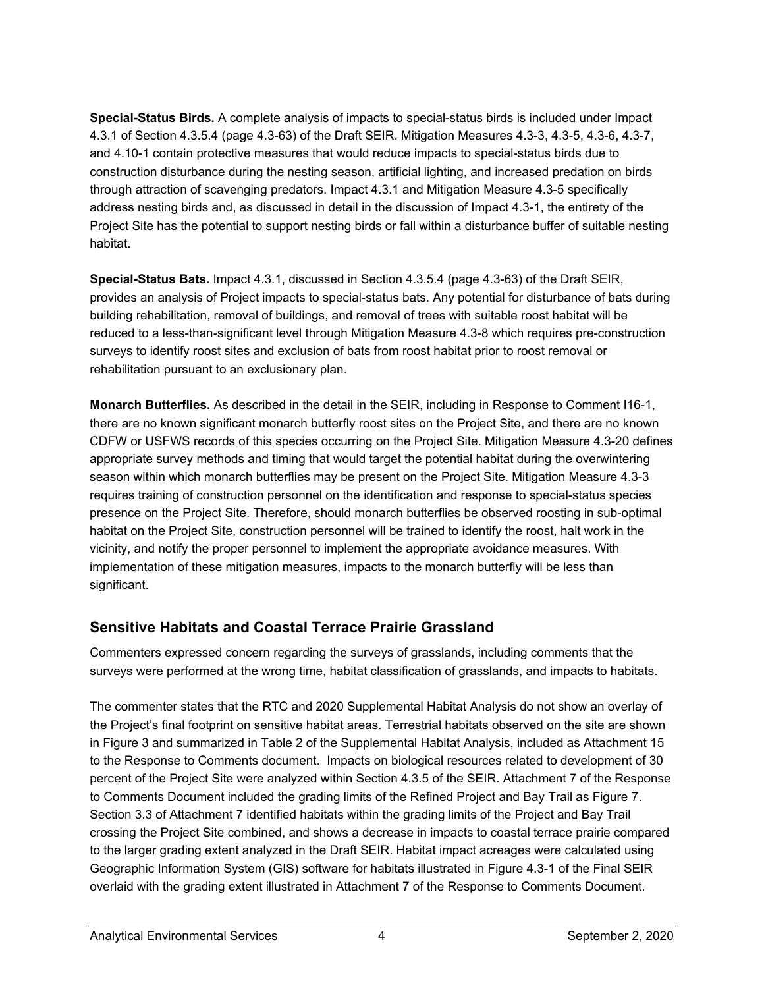**Special-Status Birds.** A complete analysis of impacts to special-status birds is included under Impact 4.3.1 of Section 4.3.5.4 (page 4.3-63) of the Draft SEIR. Mitigation Measures 4.3-3, 4.3-5, 4.3-6, 4.3-7, and 4.10-1 contain protective measures that would reduce impacts to special-status birds due to construction disturbance during the nesting season, artificial lighting, and increased predation on birds through attraction of scavenging predators. Impact 4.3.1 and Mitigation Measure 4.3-5 specifically address nesting birds and, as discussed in detail in the discussion of Impact 4.3-1, the entirety of the Project Site has the potential to support nesting birds or fall within a disturbance buffer of suitable nesting habitat.

**Special-Status Bats.** Impact 4.3.1, discussed in Section 4.3.5.4 (page 4.3-63) of the Draft SEIR, provides an analysis of Project impacts to special-status bats. Any potential for disturbance of bats during building rehabilitation, removal of buildings, and removal of trees with suitable roost habitat will be reduced to a less-than-significant level through Mitigation Measure 4.3-8 which requires pre-construction surveys to identify roost sites and exclusion of bats from roost habitat prior to roost removal or rehabilitation pursuant to an exclusionary plan.

**Monarch Butterflies.** As described in the detail in the SEIR, including in Response to Comment I16-1, there are no known significant monarch butterfly roost sites on the Project Site, and there are no known CDFW or USFWS records of this species occurring on the Project Site. Mitigation Measure 4.3-20 defines appropriate survey methods and timing that would target the potential habitat during the overwintering season within which monarch butterflies may be present on the Project Site. Mitigation Measure 4.3-3 requires training of construction personnel on the identification and response to special-status species presence on the Project Site. Therefore, should monarch butterflies be observed roosting in sub-optimal habitat on the Project Site, construction personnel will be trained to identify the roost, halt work in the vicinity, and notify the proper personnel to implement the appropriate avoidance measures. With implementation of these mitigation measures, impacts to the monarch butterfly will be less than significant.

## **Sensitive Habitats and Coastal Terrace Prairie Grassland**

Commenters expressed concern regarding the surveys of grasslands, including comments that the surveys were performed at the wrong time, habitat classification of grasslands, and impacts to habitats.

The commenter states that the RTC and 2020 Supplemental Habitat Analysis do not show an overlay of the Project's final footprint on sensitive habitat areas. Terrestrial habitats observed on the site are shown in Figure 3 and summarized in Table 2 of the Supplemental Habitat Analysis, included as Attachment 15 to the Response to Comments document. Impacts on biological resources related to development of 30 percent of the Project Site were analyzed within Section 4.3.5 of the SEIR. Attachment 7 of the Response to Comments Document included the grading limits of the Refined Project and Bay Trail as Figure 7. Section 3.3 of Attachment 7 identified habitats within the grading limits of the Project and Bay Trail crossing the Project Site combined, and shows a decrease in impacts to coastal terrace prairie compared to the larger grading extent analyzed in the Draft SEIR. Habitat impact acreages were calculated using Geographic Information System (GIS) software for habitats illustrated in Figure 4.3-1 of the Final SEIR overlaid with the grading extent illustrated in Attachment 7 of the Response to Comments Document.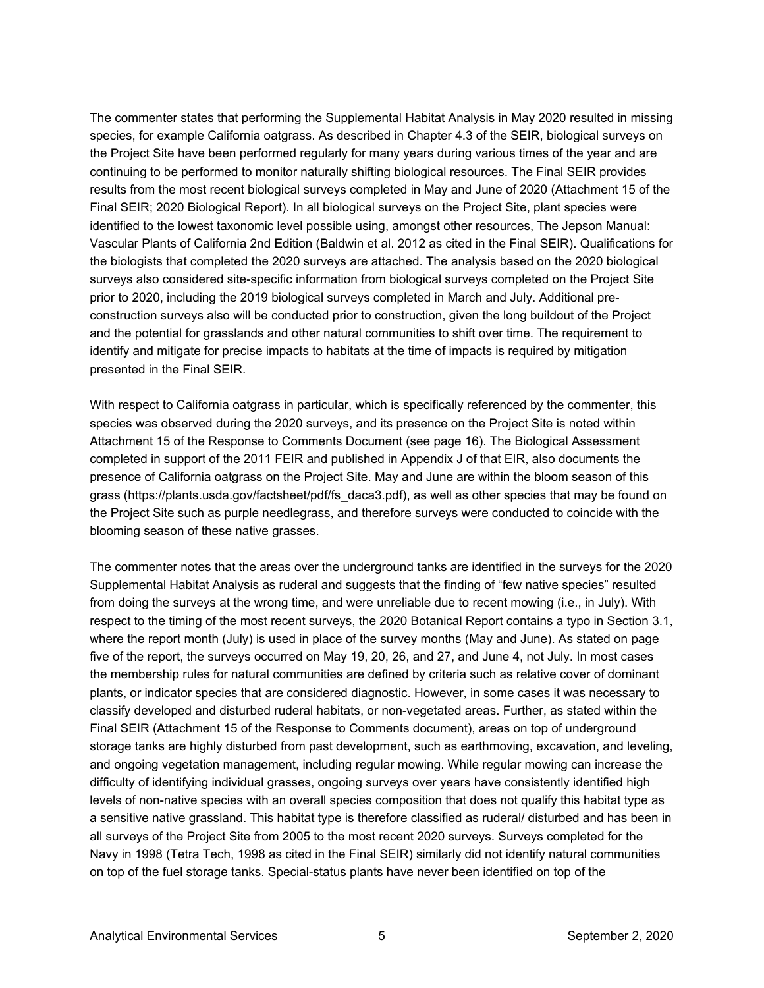The commenter states that performing the Supplemental Habitat Analysis in May 2020 resulted in missing species, for example California oatgrass. As described in Chapter 4.3 of the SEIR, biological surveys on the Project Site have been performed regularly for many years during various times of the year and are continuing to be performed to monitor naturally shifting biological resources. The Final SEIR provides results from the most recent biological surveys completed in May and June of 2020 (Attachment 15 of the Final SEIR; 2020 Biological Report). In all biological surveys on the Project Site, plant species were identified to the lowest taxonomic level possible using, amongst other resources, The Jepson Manual: Vascular Plants of California 2nd Edition (Baldwin et al. 2012 as cited in the Final SEIR). Qualifications for the biologists that completed the 2020 surveys are attached. The analysis based on the 2020 biological surveys also considered site-specific information from biological surveys completed on the Project Site prior to 2020, including the 2019 biological surveys completed in March and July. Additional preconstruction surveys also will be conducted prior to construction, given the long buildout of the Project and the potential for grasslands and other natural communities to shift over time. The requirement to identify and mitigate for precise impacts to habitats at the time of impacts is required by mitigation presented in the Final SEIR.

With respect to California oatgrass in particular, which is specifically referenced by the commenter, this species was observed during the 2020 surveys, and its presence on the Project Site is noted within Attachment 15 of the Response to Comments Document (see page 16). The Biological Assessment completed in support of the 2011 FEIR and published in Appendix J of that EIR, also documents the presence of California oatgrass on the Project Site. May and June are within the bloom season of this grass (https://plants.usda.gov/factsheet/pdf/fs\_daca3.pdf), as well as other species that may be found on the Project Site such as purple needlegrass, and therefore surveys were conducted to coincide with the blooming season of these native grasses.

The commenter notes that the areas over the underground tanks are identified in the surveys for the 2020 Supplemental Habitat Analysis as ruderal and suggests that the finding of "few native species" resulted from doing the surveys at the wrong time, and were unreliable due to recent mowing (i.e., in July). With respect to the timing of the most recent surveys, the 2020 Botanical Report contains a typo in Section 3.1, where the report month (July) is used in place of the survey months (May and June). As stated on page five of the report, the surveys occurred on May 19, 20, 26, and 27, and June 4, not July. In most cases the membership rules for natural communities are defined by criteria such as relative cover of dominant plants, or indicator species that are considered diagnostic. However, in some cases it was necessary to classify developed and disturbed ruderal habitats, or non-vegetated areas. Further, as stated within the Final SEIR (Attachment 15 of the Response to Comments document), areas on top of underground storage tanks are highly disturbed from past development, such as earthmoving, excavation, and leveling, and ongoing vegetation management, including regular mowing. While regular mowing can increase the difficulty of identifying individual grasses, ongoing surveys over years have consistently identified high levels of non-native species with an overall species composition that does not qualify this habitat type as a sensitive native grassland. This habitat type is therefore classified as ruderal/ disturbed and has been in all surveys of the Project Site from 2005 to the most recent 2020 surveys. Surveys completed for the Navy in 1998 (Tetra Tech, 1998 as cited in the Final SEIR) similarly did not identify natural communities on top of the fuel storage tanks. Special-status plants have never been identified on top of the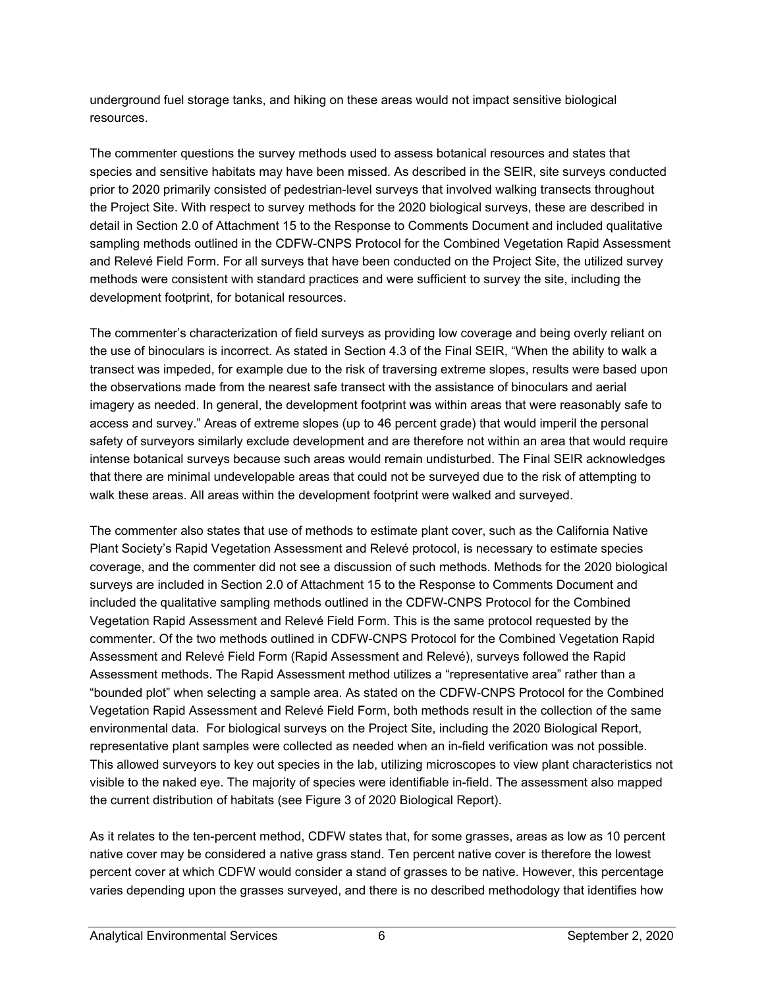underground fuel storage tanks, and hiking on these areas would not impact sensitive biological resources.

The commenter questions the survey methods used to assess botanical resources and states that species and sensitive habitats may have been missed. As described in the SEIR, site surveys conducted prior to 2020 primarily consisted of pedestrian-level surveys that involved walking transects throughout the Project Site. With respect to survey methods for the 2020 biological surveys, these are described in detail in Section 2.0 of Attachment 15 to the Response to Comments Document and included qualitative sampling methods outlined in the CDFW-CNPS Protocol for the Combined Vegetation Rapid Assessment and Relevé Field Form. For all surveys that have been conducted on the Project Site, the utilized survey methods were consistent with standard practices and were sufficient to survey the site, including the development footprint, for botanical resources.

The commenter's characterization of field surveys as providing low coverage and being overly reliant on the use of binoculars is incorrect. As stated in Section 4.3 of the Final SEIR, "When the ability to walk a transect was impeded, for example due to the risk of traversing extreme slopes, results were based upon the observations made from the nearest safe transect with the assistance of binoculars and aerial imagery as needed. In general, the development footprint was within areas that were reasonably safe to access and survey." Areas of extreme slopes (up to 46 percent grade) that would imperil the personal safety of surveyors similarly exclude development and are therefore not within an area that would require intense botanical surveys because such areas would remain undisturbed. The Final SEIR acknowledges that there are minimal undevelopable areas that could not be surveyed due to the risk of attempting to walk these areas. All areas within the development footprint were walked and surveyed.

The commenter also states that use of methods to estimate plant cover, such as the California Native Plant Society's Rapid Vegetation Assessment and Relevé protocol, is necessary to estimate species coverage, and the commenter did not see a discussion of such methods. Methods for the 2020 biological surveys are included in Section 2.0 of Attachment 15 to the Response to Comments Document and included the qualitative sampling methods outlined in the CDFW-CNPS Protocol for the Combined Vegetation Rapid Assessment and Relevé Field Form. This is the same protocol requested by the commenter. Of the two methods outlined in CDFW-CNPS Protocol for the Combined Vegetation Rapid Assessment and Relevé Field Form (Rapid Assessment and Relevé), surveys followed the Rapid Assessment methods. The Rapid Assessment method utilizes a "representative area" rather than a "bounded plot" when selecting a sample area. As stated on the CDFW-CNPS Protocol for the Combined Vegetation Rapid Assessment and Relevé Field Form, both methods result in the collection of the same environmental data. For biological surveys on the Project Site, including the 2020 Biological Report, representative plant samples were collected as needed when an in-field verification was not possible. This allowed surveyors to key out species in the lab, utilizing microscopes to view plant characteristics not visible to the naked eye. The majority of species were identifiable in-field. The assessment also mapped the current distribution of habitats (see Figure 3 of 2020 Biological Report).

As it relates to the ten-percent method, CDFW states that, for some grasses, areas as low as 10 percent native cover may be considered a native grass stand. Ten percent native cover is therefore the lowest percent cover at which CDFW would consider a stand of grasses to be native. However, this percentage varies depending upon the grasses surveyed, and there is no described methodology that identifies how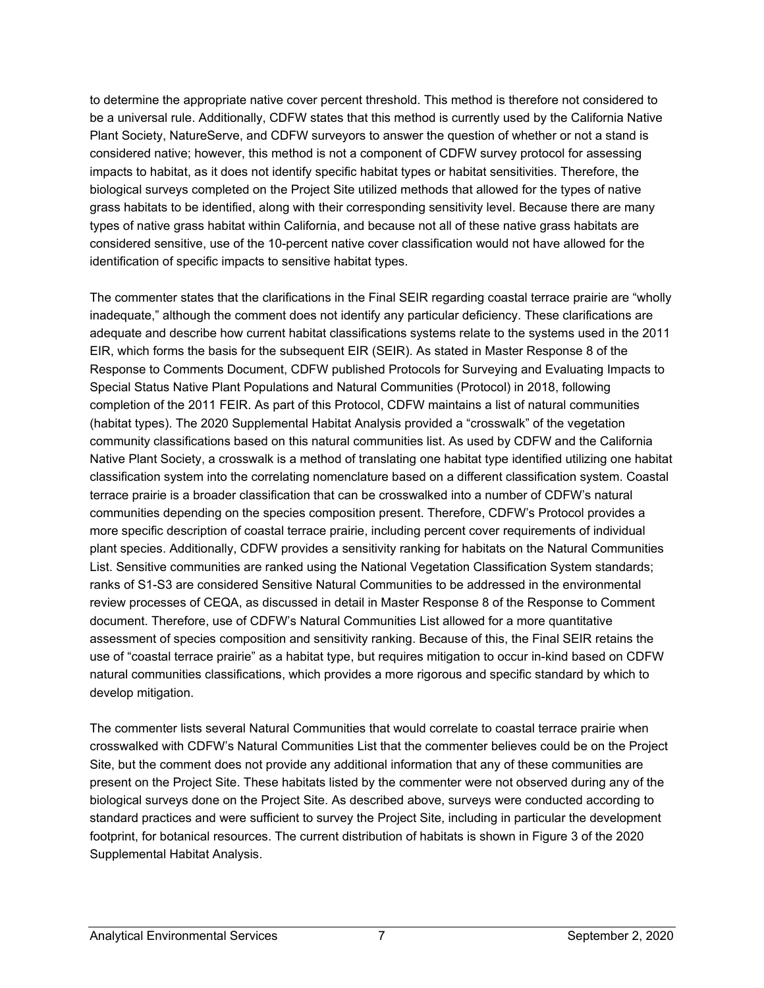to determine the appropriate native cover percent threshold. This method is therefore not considered to be a universal rule. Additionally, CDFW states that this method is currently used by the California Native Plant Society, NatureServe, and CDFW surveyors to answer the question of whether or not a stand is considered native; however, this method is not a component of CDFW survey protocol for assessing impacts to habitat, as it does not identify specific habitat types or habitat sensitivities. Therefore, the biological surveys completed on the Project Site utilized methods that allowed for the types of native grass habitats to be identified, along with their corresponding sensitivity level. Because there are many types of native grass habitat within California, and because not all of these native grass habitats are considered sensitive, use of the 10-percent native cover classification would not have allowed for the identification of specific impacts to sensitive habitat types.

The commenter states that the clarifications in the Final SEIR regarding coastal terrace prairie are "wholly inadequate," although the comment does not identify any particular deficiency. These clarifications are adequate and describe how current habitat classifications systems relate to the systems used in the 2011 EIR, which forms the basis for the subsequent EIR (SEIR). As stated in Master Response 8 of the Response to Comments Document, CDFW published Protocols for Surveying and Evaluating Impacts to Special Status Native Plant Populations and Natural Communities (Protocol) in 2018, following completion of the 2011 FEIR. As part of this Protocol, CDFW maintains a list of natural communities (habitat types). The 2020 Supplemental Habitat Analysis provided a "crosswalk" of the vegetation community classifications based on this natural communities list. As used by CDFW and the California Native Plant Society, a crosswalk is a method of translating one habitat type identified utilizing one habitat classification system into the correlating nomenclature based on a different classification system. Coastal terrace prairie is a broader classification that can be crosswalked into a number of CDFW's natural communities depending on the species composition present. Therefore, CDFW's Protocol provides a more specific description of coastal terrace prairie, including percent cover requirements of individual plant species. Additionally, CDFW provides a sensitivity ranking for habitats on the Natural Communities List. Sensitive communities are ranked using the National Vegetation Classification System standards; ranks of S1-S3 are considered Sensitive Natural Communities to be addressed in the environmental review processes of CEQA, as discussed in detail in Master Response 8 of the Response to Comment document. Therefore, use of CDFW's Natural Communities List allowed for a more quantitative assessment of species composition and sensitivity ranking. Because of this, the Final SEIR retains the use of "coastal terrace prairie" as a habitat type, but requires mitigation to occur in-kind based on CDFW natural communities classifications, which provides a more rigorous and specific standard by which to develop mitigation.

The commenter lists several Natural Communities that would correlate to coastal terrace prairie when crosswalked with CDFW's Natural Communities List that the commenter believes could be on the Project Site, but the comment does not provide any additional information that any of these communities are present on the Project Site. These habitats listed by the commenter were not observed during any of the biological surveys done on the Project Site. As described above, surveys were conducted according to standard practices and were sufficient to survey the Project Site, including in particular the development footprint, for botanical resources. The current distribution of habitats is shown in Figure 3 of the 2020 Supplemental Habitat Analysis.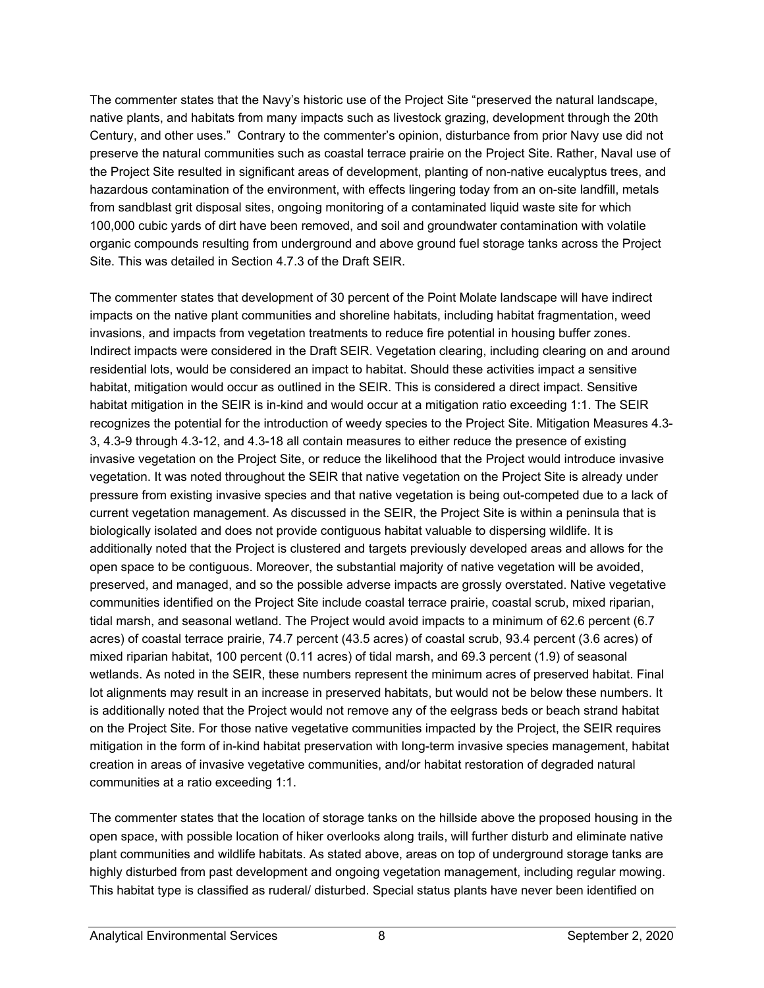The commenter states that the Navy's historic use of the Project Site "preserved the natural landscape, native plants, and habitats from many impacts such as livestock grazing, development through the 20th Century, and other uses." Contrary to the commenter's opinion, disturbance from prior Navy use did not preserve the natural communities such as coastal terrace prairie on the Project Site. Rather, Naval use of the Project Site resulted in significant areas of development, planting of non-native eucalyptus trees, and hazardous contamination of the environment, with effects lingering today from an on-site landfill, metals from sandblast grit disposal sites, ongoing monitoring of a contaminated liquid waste site for which 100,000 cubic yards of dirt have been removed, and soil and groundwater contamination with volatile organic compounds resulting from underground and above ground fuel storage tanks across the Project Site. This was detailed in Section 4.7.3 of the Draft SEIR.

The commenter states that development of 30 percent of the Point Molate landscape will have indirect impacts on the native plant communities and shoreline habitats, including habitat fragmentation, weed invasions, and impacts from vegetation treatments to reduce fire potential in housing buffer zones. Indirect impacts were considered in the Draft SEIR. Vegetation clearing, including clearing on and around residential lots, would be considered an impact to habitat. Should these activities impact a sensitive habitat, mitigation would occur as outlined in the SEIR. This is considered a direct impact. Sensitive habitat mitigation in the SEIR is in-kind and would occur at a mitigation ratio exceeding 1:1. The SEIR recognizes the potential for the introduction of weedy species to the Project Site. Mitigation Measures 4.3- 3, 4.3-9 through 4.3-12, and 4.3-18 all contain measures to either reduce the presence of existing invasive vegetation on the Project Site, or reduce the likelihood that the Project would introduce invasive vegetation. It was noted throughout the SEIR that native vegetation on the Project Site is already under pressure from existing invasive species and that native vegetation is being out-competed due to a lack of current vegetation management. As discussed in the SEIR, the Project Site is within a peninsula that is biologically isolated and does not provide contiguous habitat valuable to dispersing wildlife. It is additionally noted that the Project is clustered and targets previously developed areas and allows for the open space to be contiguous. Moreover, the substantial majority of native vegetation will be avoided, preserved, and managed, and so the possible adverse impacts are grossly overstated. Native vegetative communities identified on the Project Site include coastal terrace prairie, coastal scrub, mixed riparian, tidal marsh, and seasonal wetland. The Project would avoid impacts to a minimum of 62.6 percent (6.7 acres) of coastal terrace prairie, 74.7 percent (43.5 acres) of coastal scrub, 93.4 percent (3.6 acres) of mixed riparian habitat, 100 percent (0.11 acres) of tidal marsh, and 69.3 percent (1.9) of seasonal wetlands. As noted in the SEIR, these numbers represent the minimum acres of preserved habitat. Final lot alignments may result in an increase in preserved habitats, but would not be below these numbers. It is additionally noted that the Project would not remove any of the eelgrass beds or beach strand habitat on the Project Site. For those native vegetative communities impacted by the Project, the SEIR requires mitigation in the form of in-kind habitat preservation with long-term invasive species management, habitat creation in areas of invasive vegetative communities, and/or habitat restoration of degraded natural communities at a ratio exceeding 1:1.

The commenter states that the location of storage tanks on the hillside above the proposed housing in the open space, with possible location of hiker overlooks along trails, will further disturb and eliminate native plant communities and wildlife habitats. As stated above, areas on top of underground storage tanks are highly disturbed from past development and ongoing vegetation management, including regular mowing. This habitat type is classified as ruderal/ disturbed. Special status plants have never been identified on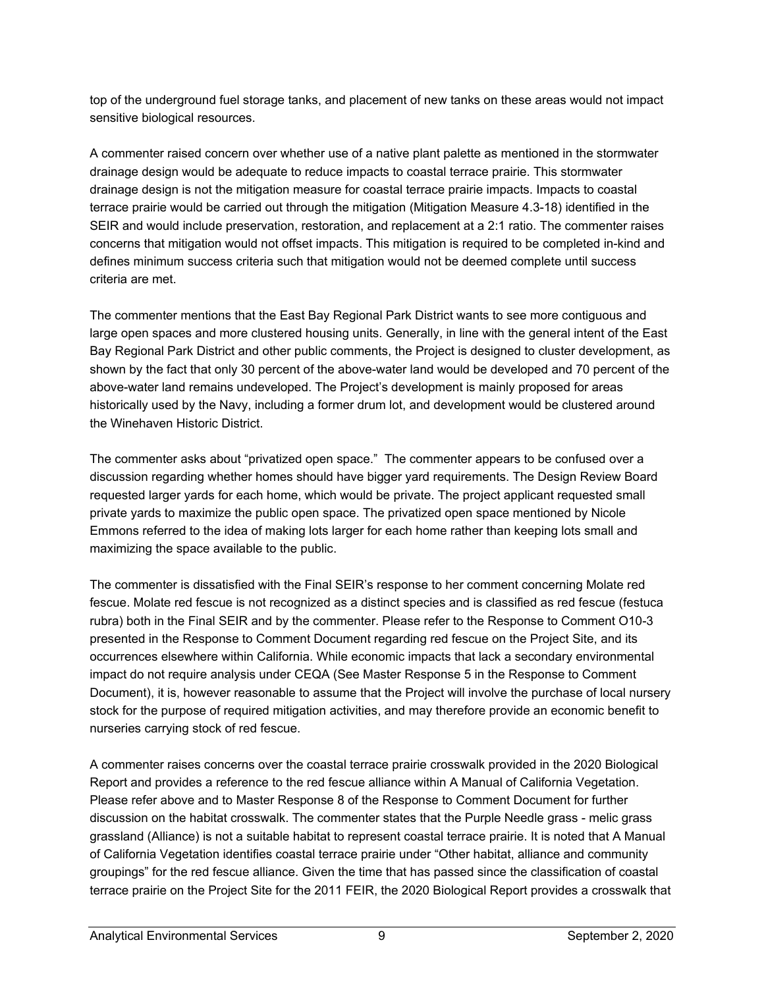top of the underground fuel storage tanks, and placement of new tanks on these areas would not impact sensitive biological resources.

A commenter raised concern over whether use of a native plant palette as mentioned in the stormwater drainage design would be adequate to reduce impacts to coastal terrace prairie. This stormwater drainage design is not the mitigation measure for coastal terrace prairie impacts. Impacts to coastal terrace prairie would be carried out through the mitigation (Mitigation Measure 4.3-18) identified in the SEIR and would include preservation, restoration, and replacement at a 2:1 ratio. The commenter raises concerns that mitigation would not offset impacts. This mitigation is required to be completed in-kind and defines minimum success criteria such that mitigation would not be deemed complete until success criteria are met.

The commenter mentions that the East Bay Regional Park District wants to see more contiguous and large open spaces and more clustered housing units. Generally, in line with the general intent of the East Bay Regional Park District and other public comments, the Project is designed to cluster development, as shown by the fact that only 30 percent of the above-water land would be developed and 70 percent of the above-water land remains undeveloped. The Project's development is mainly proposed for areas historically used by the Navy, including a former drum lot, and development would be clustered around the Winehaven Historic District.

The commenter asks about "privatized open space." The commenter appears to be confused over a discussion regarding whether homes should have bigger yard requirements. The Design Review Board requested larger yards for each home, which would be private. The project applicant requested small private yards to maximize the public open space. The privatized open space mentioned by Nicole Emmons referred to the idea of making lots larger for each home rather than keeping lots small and maximizing the space available to the public.

The commenter is dissatisfied with the Final SEIR's response to her comment concerning Molate red fescue. Molate red fescue is not recognized as a distinct species and is classified as red fescue (festuca rubra) both in the Final SEIR and by the commenter. Please refer to the Response to Comment O10-3 presented in the Response to Comment Document regarding red fescue on the Project Site, and its occurrences elsewhere within California. While economic impacts that lack a secondary environmental impact do not require analysis under CEQA (See Master Response 5 in the Response to Comment Document), it is, however reasonable to assume that the Project will involve the purchase of local nursery stock for the purpose of required mitigation activities, and may therefore provide an economic benefit to nurseries carrying stock of red fescue.

A commenter raises concerns over the coastal terrace prairie crosswalk provided in the 2020 Biological Report and provides a reference to the red fescue alliance within A Manual of California Vegetation. Please refer above and to Master Response 8 of the Response to Comment Document for further discussion on the habitat crosswalk. The commenter states that the Purple Needle grass - melic grass grassland (Alliance) is not a suitable habitat to represent coastal terrace prairie. It is noted that A Manual of California Vegetation identifies coastal terrace prairie under "Other habitat, alliance and community groupings" for the red fescue alliance. Given the time that has passed since the classification of coastal terrace prairie on the Project Site for the 2011 FEIR, the 2020 Biological Report provides a crosswalk that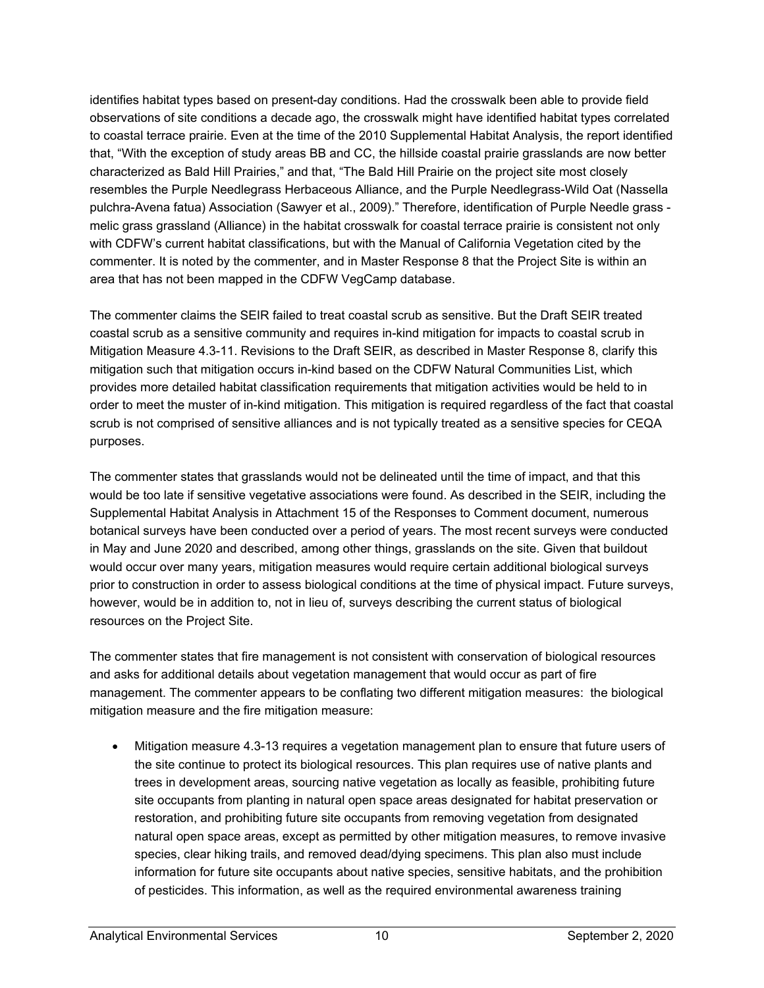identifies habitat types based on present-day conditions. Had the crosswalk been able to provide field observations of site conditions a decade ago, the crosswalk might have identified habitat types correlated to coastal terrace prairie. Even at the time of the 2010 Supplemental Habitat Analysis, the report identified that, "With the exception of study areas BB and CC, the hillside coastal prairie grasslands are now better characterized as Bald Hill Prairies," and that, "The Bald Hill Prairie on the project site most closely resembles the Purple Needlegrass Herbaceous Alliance, and the Purple Needlegrass-Wild Oat (Nassella pulchra-Avena fatua) Association (Sawyer et al., 2009)." Therefore, identification of Purple Needle grass melic grass grassland (Alliance) in the habitat crosswalk for coastal terrace prairie is consistent not only with CDFW's current habitat classifications, but with the Manual of California Vegetation cited by the commenter. It is noted by the commenter, and in Master Response 8 that the Project Site is within an area that has not been mapped in the CDFW VegCamp database.

The commenter claims the SEIR failed to treat coastal scrub as sensitive. But the Draft SEIR treated coastal scrub as a sensitive community and requires in-kind mitigation for impacts to coastal scrub in Mitigation Measure 4.3-11. Revisions to the Draft SEIR, as described in Master Response 8, clarify this mitigation such that mitigation occurs in-kind based on the CDFW Natural Communities List, which provides more detailed habitat classification requirements that mitigation activities would be held to in order to meet the muster of in-kind mitigation. This mitigation is required regardless of the fact that coastal scrub is not comprised of sensitive alliances and is not typically treated as a sensitive species for CEQA purposes.

The commenter states that grasslands would not be delineated until the time of impact, and that this would be too late if sensitive vegetative associations were found. As described in the SEIR, including the Supplemental Habitat Analysis in Attachment 15 of the Responses to Comment document, numerous botanical surveys have been conducted over a period of years. The most recent surveys were conducted in May and June 2020 and described, among other things, grasslands on the site. Given that buildout would occur over many years, mitigation measures would require certain additional biological surveys prior to construction in order to assess biological conditions at the time of physical impact. Future surveys, however, would be in addition to, not in lieu of, surveys describing the current status of biological resources on the Project Site.

The commenter states that fire management is not consistent with conservation of biological resources and asks for additional details about vegetation management that would occur as part of fire management. The commenter appears to be conflating two different mitigation measures: the biological mitigation measure and the fire mitigation measure:

• Mitigation measure 4.3-13 requires a vegetation management plan to ensure that future users of the site continue to protect its biological resources. This plan requires use of native plants and trees in development areas, sourcing native vegetation as locally as feasible, prohibiting future site occupants from planting in natural open space areas designated for habitat preservation or restoration, and prohibiting future site occupants from removing vegetation from designated natural open space areas, except as permitted by other mitigation measures, to remove invasive species, clear hiking trails, and removed dead/dying specimens. This plan also must include information for future site occupants about native species, sensitive habitats, and the prohibition of pesticides. This information, as well as the required environmental awareness training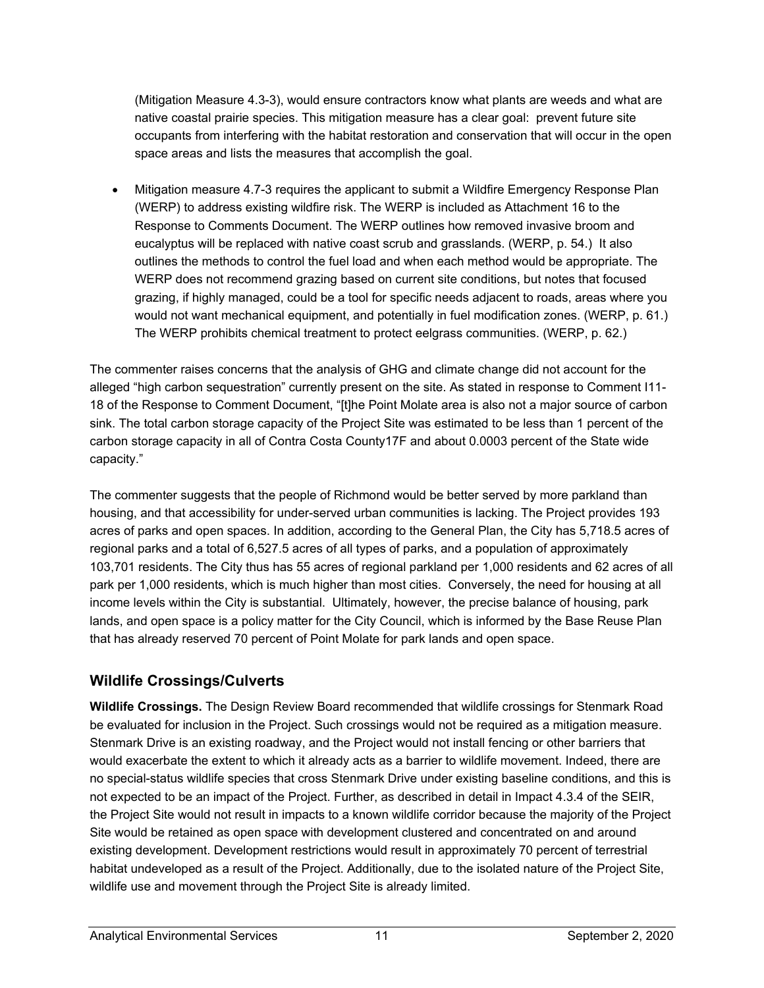(Mitigation Measure 4.3-3), would ensure contractors know what plants are weeds and what are native coastal prairie species. This mitigation measure has a clear goal: prevent future site occupants from interfering with the habitat restoration and conservation that will occur in the open space areas and lists the measures that accomplish the goal.

• Mitigation measure 4.7-3 requires the applicant to submit a Wildfire Emergency Response Plan (WERP) to address existing wildfire risk. The WERP is included as Attachment 16 to the Response to Comments Document. The WERP outlines how removed invasive broom and eucalyptus will be replaced with native coast scrub and grasslands. (WERP, p. 54.) It also outlines the methods to control the fuel load and when each method would be appropriate. The WERP does not recommend grazing based on current site conditions, but notes that focused grazing, if highly managed, could be a tool for specific needs adjacent to roads, areas where you would not want mechanical equipment, and potentially in fuel modification zones. (WERP, p. 61.) The WERP prohibits chemical treatment to protect eelgrass communities. (WERP, p. 62.)

The commenter raises concerns that the analysis of GHG and climate change did not account for the alleged "high carbon sequestration" currently present on the site. As stated in response to Comment I11- 18 of the Response to Comment Document, "[t]he Point Molate area is also not a major source of carbon sink. The total carbon storage capacity of the Project Site was estimated to be less than 1 percent of the carbon storage capacity in all of Contra Costa County17F and about 0.0003 percent of the State wide capacity."

The commenter suggests that the people of Richmond would be better served by more parkland than housing, and that accessibility for under-served urban communities is lacking. The Project provides 193 acres of parks and open spaces. In addition, according to the General Plan, the City has 5,718.5 acres of regional parks and a total of 6,527.5 acres of all types of parks, and a population of approximately 103,701 residents. The City thus has 55 acres of regional parkland per 1,000 residents and 62 acres of all park per 1,000 residents, which is much higher than most cities. Conversely, the need for housing at all income levels within the City is substantial. Ultimately, however, the precise balance of housing, park lands, and open space is a policy matter for the City Council, which is informed by the Base Reuse Plan that has already reserved 70 percent of Point Molate for park lands and open space.

## **Wildlife Crossings/Culverts**

**Wildlife Crossings.** The Design Review Board recommended that wildlife crossings for Stenmark Road be evaluated for inclusion in the Project. Such crossings would not be required as a mitigation measure. Stenmark Drive is an existing roadway, and the Project would not install fencing or other barriers that would exacerbate the extent to which it already acts as a barrier to wildlife movement. Indeed, there are no special-status wildlife species that cross Stenmark Drive under existing baseline conditions, and this is not expected to be an impact of the Project. Further, as described in detail in Impact 4.3.4 of the SEIR, the Project Site would not result in impacts to a known wildlife corridor because the majority of the Project Site would be retained as open space with development clustered and concentrated on and around existing development. Development restrictions would result in approximately 70 percent of terrestrial habitat undeveloped as a result of the Project. Additionally, due to the isolated nature of the Project Site, wildlife use and movement through the Project Site is already limited.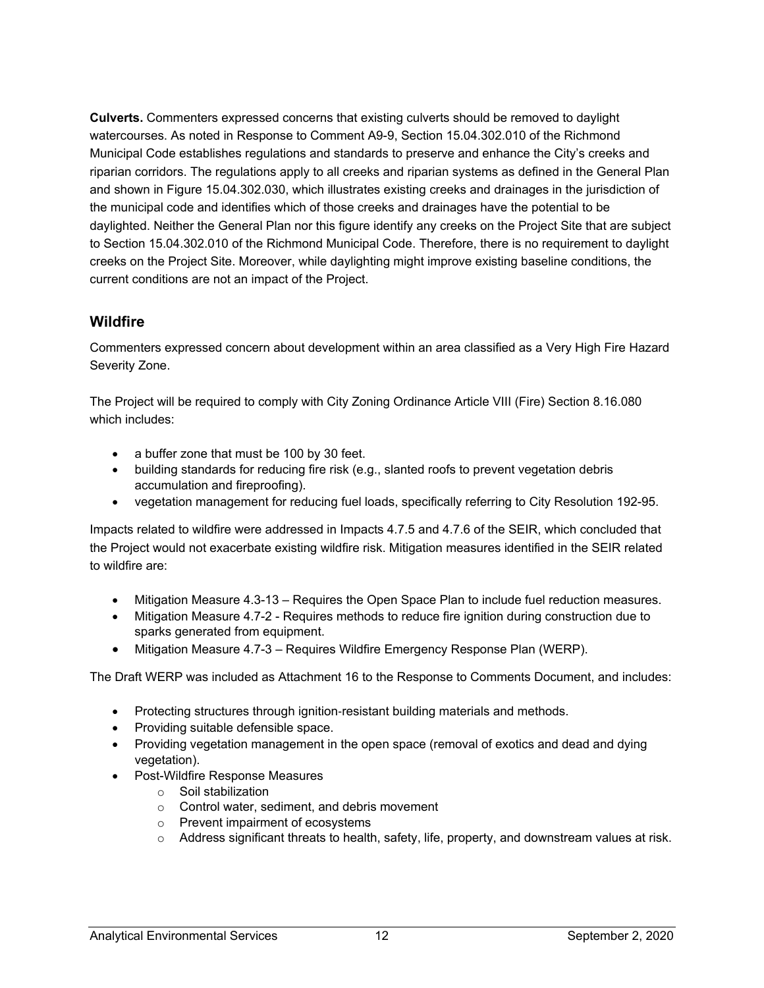**Culverts.** Commenters expressed concerns that existing culverts should be removed to daylight watercourses. As noted in Response to Comment A9-9, Section 15.04.302.010 of the Richmond Municipal Code establishes regulations and standards to preserve and enhance the City's creeks and riparian corridors. The regulations apply to all creeks and riparian systems as defined in the General Plan and shown in Figure 15.04.302.030, which illustrates existing creeks and drainages in the jurisdiction of the municipal code and identifies which of those creeks and drainages have the potential to be daylighted. Neither the General Plan nor this figure identify any creeks on the Project Site that are subject to Section 15.04.302.010 of the Richmond Municipal Code. Therefore, there is no requirement to daylight creeks on the Project Site. Moreover, while daylighting might improve existing baseline conditions, the current conditions are not an impact of the Project.

#### **Wildfire**

Commenters expressed concern about development within an area classified as a Very High Fire Hazard Severity Zone.

The Project will be required to comply with City Zoning Ordinance Article VIII (Fire) Section 8.16.080 which includes:

- a buffer zone that must be 100 by 30 feet.
- building standards for reducing fire risk (e.g., slanted roofs to prevent vegetation debris accumulation and fireproofing).
- vegetation management for reducing fuel loads, specifically referring to City Resolution 192-95.

Impacts related to wildfire were addressed in Impacts 4.7.5 and 4.7.6 of the SEIR, which concluded that the Project would not exacerbate existing wildfire risk. Mitigation measures identified in the SEIR related to wildfire are:

- Mitigation Measure 4.3-13 Requires the Open Space Plan to include fuel reduction measures.
- Mitigation Measure 4.7-2 Requires methods to reduce fire ignition during construction due to sparks generated from equipment.
- Mitigation Measure 4.7-3 Requires Wildfire Emergency Response Plan (WERP).

The Draft WERP was included as Attachment 16 to the Response to Comments Document, and includes:

- Protecting structures through ignition-resistant building materials and methods.
- Providing suitable defensible space.
- Providing vegetation management in the open space (removal of exotics and dead and dying vegetation).
- Post-Wildfire Response Measures
	- o Soil stabilization
	- o Control water, sediment, and debris movement
	- o Prevent impairment of ecosystems
	- o Address significant threats to health, safety, life, property, and downstream values at risk.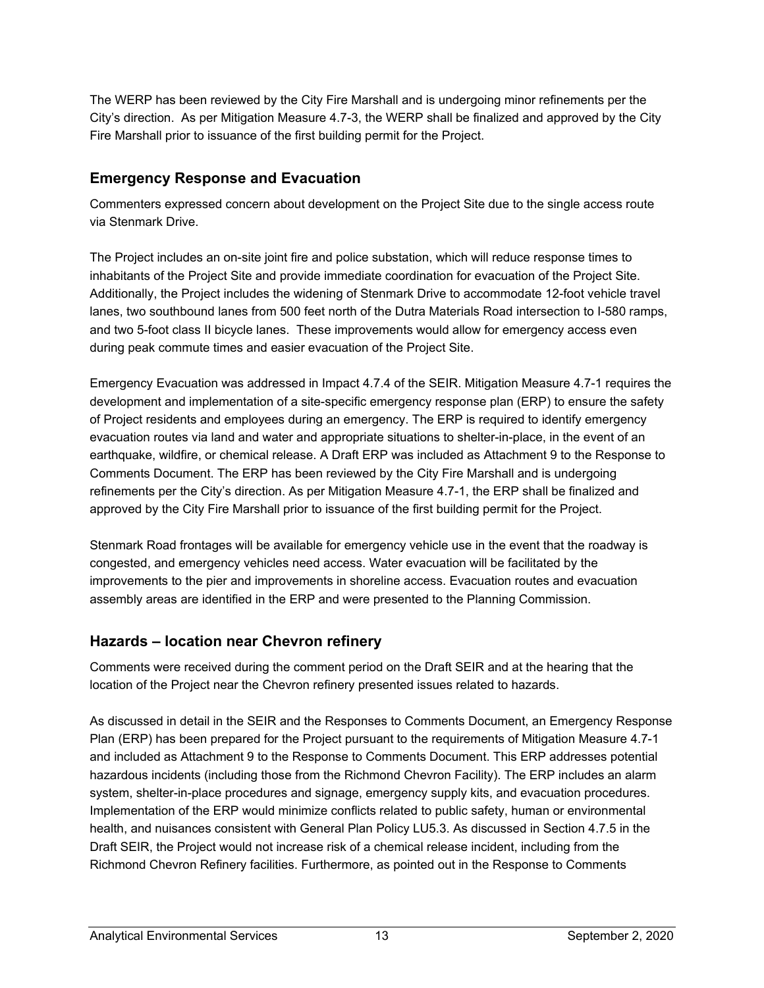The WERP has been reviewed by the City Fire Marshall and is undergoing minor refinements per the City's direction. As per Mitigation Measure 4.7-3, the WERP shall be finalized and approved by the City Fire Marshall prior to issuance of the first building permit for the Project.

## **Emergency Response and Evacuation**

Commenters expressed concern about development on the Project Site due to the single access route via Stenmark Drive.

The Project includes an on-site joint fire and police substation, which will reduce response times to inhabitants of the Project Site and provide immediate coordination for evacuation of the Project Site. Additionally, the Project includes the widening of Stenmark Drive to accommodate 12-foot vehicle travel lanes, two southbound lanes from 500 feet north of the Dutra Materials Road intersection to I-580 ramps, and two 5-foot class II bicycle lanes. These improvements would allow for emergency access even during peak commute times and easier evacuation of the Project Site.

Emergency Evacuation was addressed in Impact 4.7.4 of the SEIR. Mitigation Measure 4.7-1 requires the development and implementation of a site-specific emergency response plan (ERP) to ensure the safety of Project residents and employees during an emergency. The ERP is required to identify emergency evacuation routes via land and water and appropriate situations to shelter-in-place, in the event of an earthquake, wildfire, or chemical release. A Draft ERP was included as Attachment 9 to the Response to Comments Document. The ERP has been reviewed by the City Fire Marshall and is undergoing refinements per the City's direction. As per Mitigation Measure 4.7-1, the ERP shall be finalized and approved by the City Fire Marshall prior to issuance of the first building permit for the Project.

Stenmark Road frontages will be available for emergency vehicle use in the event that the roadway is congested, and emergency vehicles need access. Water evacuation will be facilitated by the improvements to the pier and improvements in shoreline access. Evacuation routes and evacuation assembly areas are identified in the ERP and were presented to the Planning Commission.

## **Hazards – location near Chevron refinery**

Comments were received during the comment period on the Draft SEIR and at the hearing that the location of the Project near the Chevron refinery presented issues related to hazards.

As discussed in detail in the SEIR and the Responses to Comments Document, an Emergency Response Plan (ERP) has been prepared for the Project pursuant to the requirements of Mitigation Measure 4.7-1 and included as Attachment 9 to the Response to Comments Document. This ERP addresses potential hazardous incidents (including those from the Richmond Chevron Facility). The ERP includes an alarm system, shelter-in-place procedures and signage, emergency supply kits, and evacuation procedures. Implementation of the ERP would minimize conflicts related to public safety, human or environmental health, and nuisances consistent with General Plan Policy LU5.3. As discussed in Section 4.7.5 in the Draft SEIR, the Project would not increase risk of a chemical release incident, including from the Richmond Chevron Refinery facilities. Furthermore, as pointed out in the Response to Comments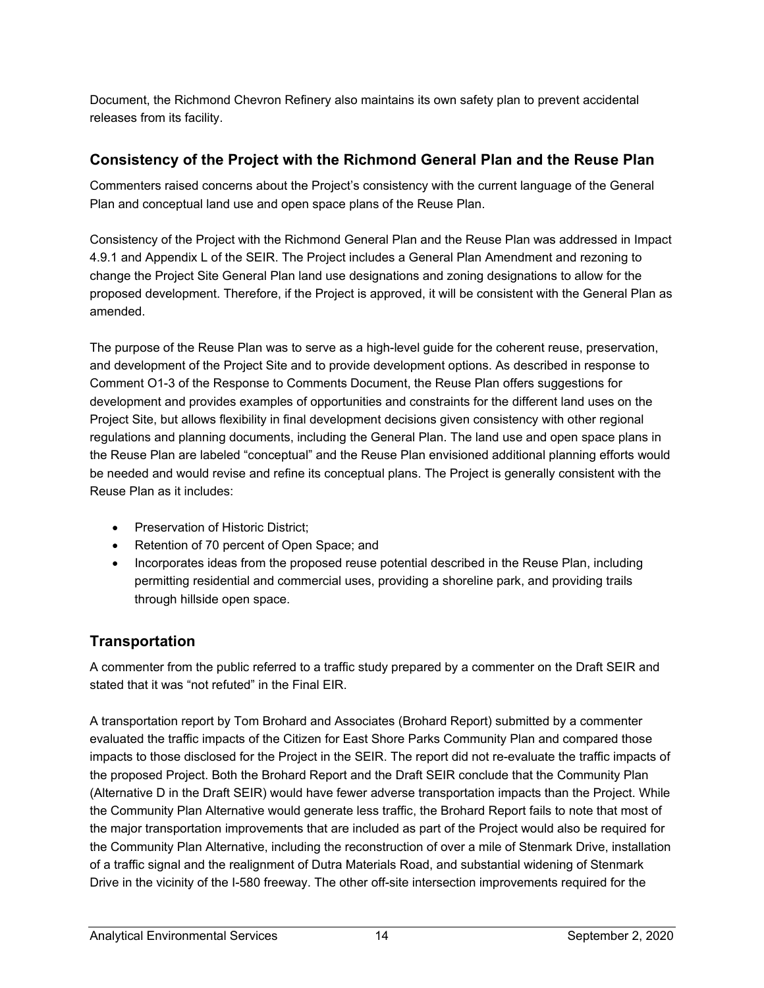Document, the Richmond Chevron Refinery also maintains its own safety plan to prevent accidental releases from its facility.

#### **Consistency of the Project with the Richmond General Plan and the Reuse Plan**

Commenters raised concerns about the Project's consistency with the current language of the General Plan and conceptual land use and open space plans of the Reuse Plan.

Consistency of the Project with the Richmond General Plan and the Reuse Plan was addressed in Impact 4.9.1 and Appendix L of the SEIR. The Project includes a General Plan Amendment and rezoning to change the Project Site General Plan land use designations and zoning designations to allow for the proposed development. Therefore, if the Project is approved, it will be consistent with the General Plan as amended.

The purpose of the Reuse Plan was to serve as a high-level guide for the coherent reuse, preservation, and development of the Project Site and to provide development options. As described in response to Comment O1-3 of the Response to Comments Document, the Reuse Plan offers suggestions for development and provides examples of opportunities and constraints for the different land uses on the Project Site, but allows flexibility in final development decisions given consistency with other regional regulations and planning documents, including the General Plan. The land use and open space plans in the Reuse Plan are labeled "conceptual" and the Reuse Plan envisioned additional planning efforts would be needed and would revise and refine its conceptual plans. The Project is generally consistent with the Reuse Plan as it includes:

- Preservation of Historic District;
- Retention of 70 percent of Open Space; and
- Incorporates ideas from the proposed reuse potential described in the Reuse Plan, including permitting residential and commercial uses, providing a shoreline park, and providing trails through hillside open space.

## **Transportation**

A commenter from the public referred to a traffic study prepared by a commenter on the Draft SEIR and stated that it was "not refuted" in the Final EIR.

A transportation report by Tom Brohard and Associates (Brohard Report) submitted by a commenter evaluated the traffic impacts of the Citizen for East Shore Parks Community Plan and compared those impacts to those disclosed for the Project in the SEIR. The report did not re-evaluate the traffic impacts of the proposed Project. Both the Brohard Report and the Draft SEIR conclude that the Community Plan (Alternative D in the Draft SEIR) would have fewer adverse transportation impacts than the Project. While the Community Plan Alternative would generate less traffic, the Brohard Report fails to note that most of the major transportation improvements that are included as part of the Project would also be required for the Community Plan Alternative, including the reconstruction of over a mile of Stenmark Drive, installation of a traffic signal and the realignment of Dutra Materials Road, and substantial widening of Stenmark Drive in the vicinity of the I-580 freeway. The other off-site intersection improvements required for the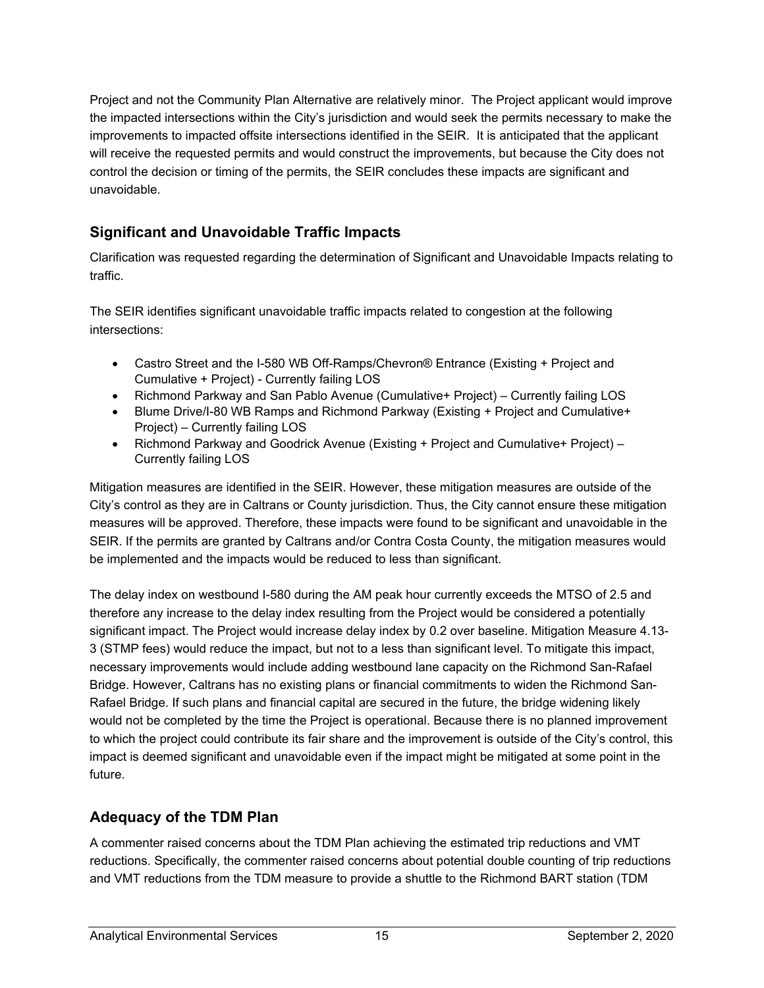Project and not the Community Plan Alternative are relatively minor. The Project applicant would improve the impacted intersections within the City's jurisdiction and would seek the permits necessary to make the improvements to impacted offsite intersections identified in the SEIR. It is anticipated that the applicant will receive the requested permits and would construct the improvements, but because the City does not control the decision or timing of the permits, the SEIR concludes these impacts are significant and unavoidable.

# **Significant and Unavoidable Traffic Impacts**

Clarification was requested regarding the determination of Significant and Unavoidable Impacts relating to traffic.

The SEIR identifies significant unavoidable traffic impacts related to congestion at the following intersections:

- Castro Street and the I-580 WB Off-Ramps/Chevron® Entrance (Existing + Project and Cumulative + Project) - Currently failing LOS
- Richmond Parkway and San Pablo Avenue (Cumulative+ Project) Currently failing LOS
- Blume Drive/I-80 WB Ramps and Richmond Parkway (Existing + Project and Cumulative+ Project) – Currently failing LOS
- Richmond Parkway and Goodrick Avenue (Existing + Project and Cumulative+ Project) Currently failing LOS

Mitigation measures are identified in the SEIR. However, these mitigation measures are outside of the City's control as they are in Caltrans or County jurisdiction. Thus, the City cannot ensure these mitigation measures will be approved. Therefore, these impacts were found to be significant and unavoidable in the SEIR. If the permits are granted by Caltrans and/or Contra Costa County, the mitigation measures would be implemented and the impacts would be reduced to less than significant.

The delay index on westbound I-580 during the AM peak hour currently exceeds the MTSO of 2.5 and therefore any increase to the delay index resulting from the Project would be considered a potentially significant impact. The Project would increase delay index by 0.2 over baseline. Mitigation Measure 4.13- 3 (STMP fees) would reduce the impact, but not to a less than significant level. To mitigate this impact, necessary improvements would include adding westbound lane capacity on the Richmond San-Rafael Bridge. However, Caltrans has no existing plans or financial commitments to widen the Richmond San-Rafael Bridge. If such plans and financial capital are secured in the future, the bridge widening likely would not be completed by the time the Project is operational. Because there is no planned improvement to which the project could contribute its fair share and the improvement is outside of the City's control, this impact is deemed significant and unavoidable even if the impact might be mitigated at some point in the future.

## **Adequacy of the TDM Plan**

A commenter raised concerns about the TDM Plan achieving the estimated trip reductions and VMT reductions. Specifically, the commenter raised concerns about potential double counting of trip reductions and VMT reductions from the TDM measure to provide a shuttle to the Richmond BART station (TDM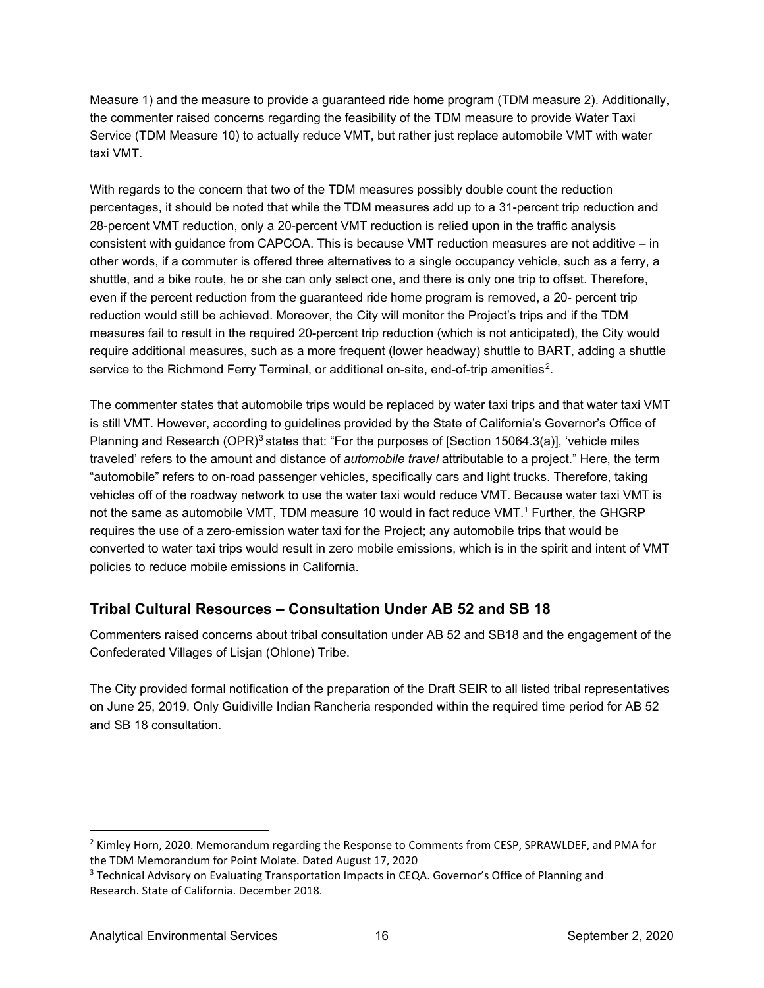Measure 1) and the measure to provide a guaranteed ride home program (TDM measure 2). Additionally, the commenter raised concerns regarding the feasibility of the TDM measure to provide Water Taxi Service (TDM Measure 10) to actually reduce VMT, but rather just replace automobile VMT with water taxi VMT.

With regards to the concern that two of the TDM measures possibly double count the reduction percentages, it should be noted that while the TDM measures add up to a 31-percent trip reduction and 28-percent VMT reduction, only a 20-percent VMT reduction is relied upon in the traffic analysis consistent with guidance from CAPCOA. This is because VMT reduction measures are not additive – in other words, if a commuter is offered three alternatives to a single occupancy vehicle, such as a ferry, a shuttle, and a bike route, he or she can only select one, and there is only one trip to offset. Therefore, even if the percent reduction from the guaranteed ride home program is removed, a 20- percent trip reduction would still be achieved. Moreover, the City will monitor the Project's trips and if the TDM measures fail to result in the required 20-percent trip reduction (which is not anticipated), the City would require additional measures, such as a more frequent (lower headway) shuttle to BART, adding a shuttle service to the Richmond Ferry Terminal, or additional on-site, end-of-trip amenities<sup>2</sup>.

The commenter states that automobile trips would be replaced by water taxi trips and that water taxi VMT is still VMT. However, according to guidelines provided by the State of California's Governor's Office of Planning and Research (OPR)<sup>[3](#page-15-1)</sup> states that: "For the purposes of [Section 15064.3(a)], 'vehicle miles traveled' refers to the amount and distance of *automobile travel* attributable to a project." Here, the term "automobile" refers to on-road passenger vehicles, specifically cars and light trucks. Therefore, taking vehicles off of the roadway network to use the water taxi would reduce VMT. Because water taxi VMT is not the same as automobile VMT, TDM measure 10 would in fact reduce VMT.<sup>1</sup> Further, the GHGRP requires the use of a zero-emission water taxi for the Project; any automobile trips that would be converted to water taxi trips would result in zero mobile emissions, which is in the spirit and intent of VMT policies to reduce mobile emissions in California.

## **Tribal Cultural Resources – Consultation Under AB 52 and SB 18**

Commenters raised concerns about tribal consultation under AB 52 and SB18 and the engagement of the Confederated Villages of Lisjan (Ohlone) Tribe.

The City provided formal notification of the preparation of the Draft SEIR to all listed tribal representatives on June 25, 2019. Only Guidiville Indian Rancheria responded within the required time period for AB 52 and SB 18 consultation.

<span id="page-15-0"></span><sup>&</sup>lt;sup>2</sup> Kimley Horn, 2020. Memorandum regarding the Response to Comments from CESP, SPRAWLDEF, and PMA for the TDM Memorandum for Point Molate. Dated August 17, 2020

<span id="page-15-1"></span><sup>&</sup>lt;sup>3</sup> Technical Advisory on Evaluating Transportation Impacts in CEQA. Governor's Office of Planning and Research. State of California. December 2018.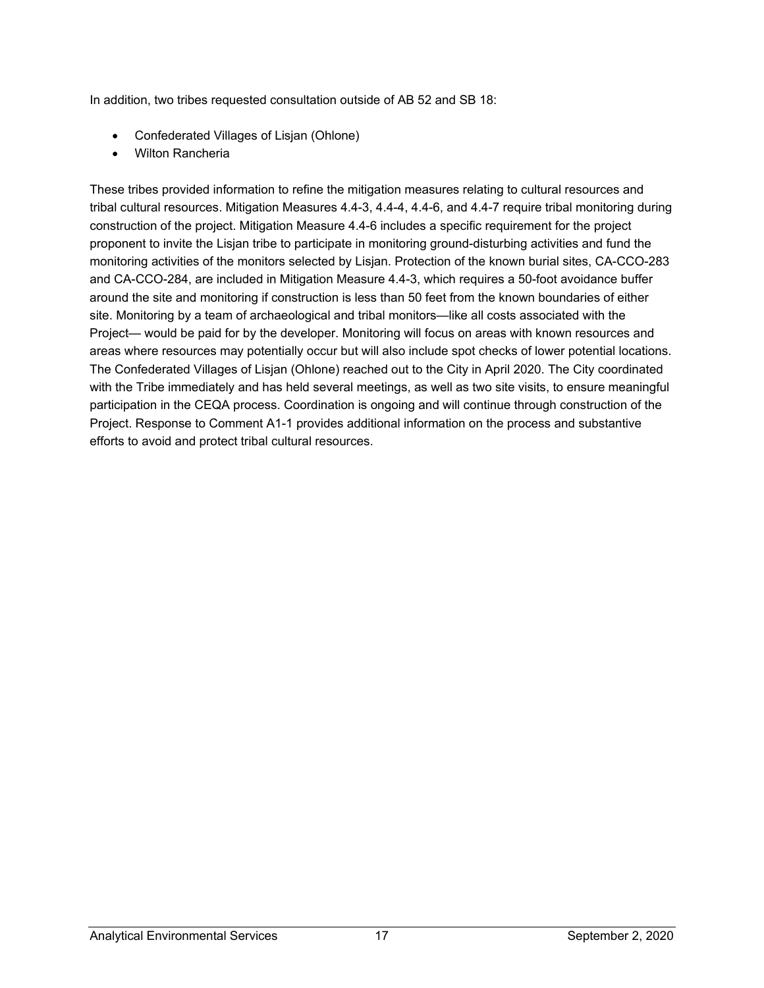In addition, two tribes requested consultation outside of AB 52 and SB 18:

- Confederated Villages of Lisjan (Ohlone)
- Wilton Rancheria

These tribes provided information to refine the mitigation measures relating to cultural resources and tribal cultural resources. Mitigation Measures 4.4-3, 4.4-4, 4.4-6, and 4.4-7 require tribal monitoring during construction of the project. Mitigation Measure 4.4-6 includes a specific requirement for the project proponent to invite the Lisjan tribe to participate in monitoring ground-disturbing activities and fund the monitoring activities of the monitors selected by Lisjan. Protection of the known burial sites, CA-CCO-283 and CA-CCO-284, are included in Mitigation Measure 4.4-3, which requires a 50-foot avoidance buffer around the site and monitoring if construction is less than 50 feet from the known boundaries of either site. Monitoring by a team of archaeological and tribal monitors—like all costs associated with the Project— would be paid for by the developer. Monitoring will focus on areas with known resources and areas where resources may potentially occur but will also include spot checks of lower potential locations. The Confederated Villages of Lisjan (Ohlone) reached out to the City in April 2020. The City coordinated with the Tribe immediately and has held several meetings, as well as two site visits, to ensure meaningful participation in the CEQA process. Coordination is ongoing and will continue through construction of the Project. Response to Comment A1-1 provides additional information on the process and substantive efforts to avoid and protect tribal cultural resources.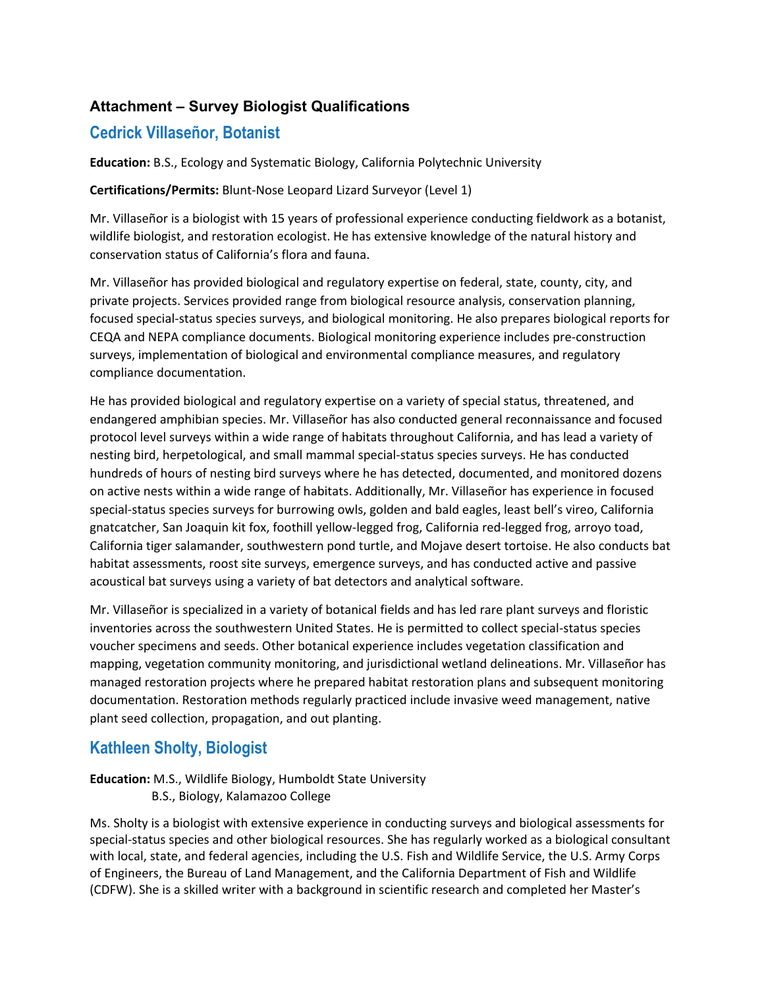#### **Attachment – Survey Biologist Qualifications**

## **Cedrick Villaseñor, Botanist**

**Education:** B.S., Ecology and Systematic Biology, California Polytechnic University

**Certifications/Permits:** Blunt-Nose Leopard Lizard Surveyor (Level 1)

Mr. Villaseñor is a biologist with 15 years of professional experience conducting fieldwork as a botanist, wildlife biologist, and restoration ecologist. He has extensive knowledge of the natural history and conservation status of California's flora and fauna.

Mr. Villaseñor has provided biological and regulatory expertise on federal, state, county, city, and private projects. Services provided range from biological resource analysis, conservation planning, focused special-status species surveys, and biological monitoring. He also prepares biological reports for CEQA and NEPA compliance documents. Biological monitoring experience includes pre-construction surveys, implementation of biological and environmental compliance measures, and regulatory compliance documentation.

He has provided biological and regulatory expertise on a variety of special status, threatened, and endangered amphibian species. Mr. Villaseñor has also conducted general reconnaissance and focused protocol level surveys within a wide range of habitats throughout California, and has lead a variety of nesting bird, herpetological, and small mammal special-status species surveys. He has conducted hundreds of hours of nesting bird surveys where he has detected, documented, and monitored dozens on active nests within a wide range of habitats. Additionally, Mr. Villaseñor has experience in focused special-status species surveys for burrowing owls, golden and bald eagles, least bell's vireo, California gnatcatcher, San Joaquin kit fox, foothill yellow-legged frog, California red-legged frog, arroyo toad, California tiger salamander, southwestern pond turtle, and Mojave desert tortoise. He also conducts bat habitat assessments, roost site surveys, emergence surveys, and has conducted active and passive acoustical bat surveys using a variety of bat detectors and analytical software.

Mr. Villaseñor is specialized in a variety of botanical fields and has led rare plant surveys and floristic inventories across the southwestern United States. He is permitted to collect special-status species voucher specimens and seeds. Other botanical experience includes vegetation classification and mapping, vegetation community monitoring, and jurisdictional wetland delineations. Mr. Villaseñor has managed restoration projects where he prepared habitat restoration plans and subsequent monitoring documentation. Restoration methods regularly practiced include invasive weed management, native plant seed collection, propagation, and out planting.

## **Kathleen Sholty, Biologist**

# **Education:** M.S., Wildlife Biology, Humboldt State University

B.S., Biology, Kalamazoo College

Ms. Sholty is a biologist with extensive experience in conducting surveys and biological assessments for special-status species and other biological resources. She has regularly worked as a biological consultant with local, state, and federal agencies, including the U.S. Fish and Wildlife Service, the U.S. Army Corps of Engineers, the Bureau of Land Management, and the California Department of Fish and Wildlife (CDFW). She is a skilled writer with a background in scientific research and completed her Master's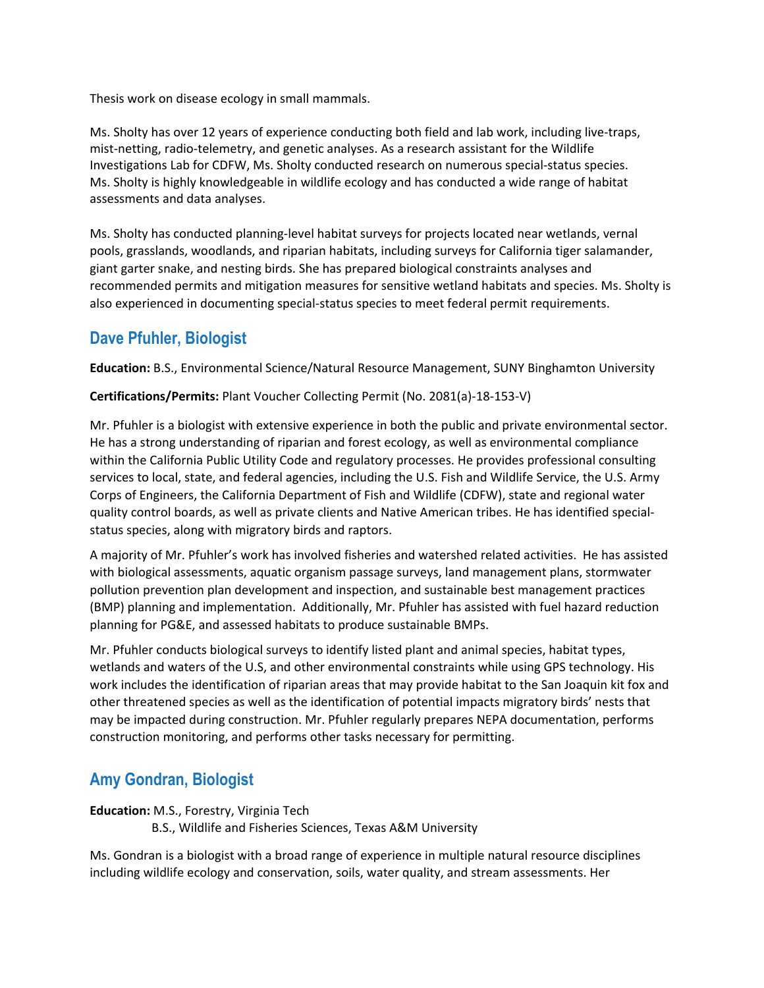Thesis work on disease ecology in small mammals.

Ms. Sholty has over 12 years of experience conducting both field and lab work, including live-traps, mist-netting, radio-telemetry, and genetic analyses. As a research assistant for the Wildlife Investigations Lab for CDFW, Ms. Sholty conducted research on numerous special-status species. Ms. Sholty is highly knowledgeable in wildlife ecology and has conducted a wide range of habitat assessments and data analyses.

Ms. Sholty has conducted planning-level habitat surveys for projects located near wetlands, vernal pools, grasslands, woodlands, and riparian habitats, including surveys for California tiger salamander, giant garter snake, and nesting birds. She has prepared biological constraints analyses and recommended permits and mitigation measures for sensitive wetland habitats and species. Ms. Sholty is also experienced in documenting special-status species to meet federal permit requirements.

# **Dave Pfuhler, Biologist**

**Education:** B.S., Environmental Science/Natural Resource Management, SUNY Binghamton University

**Certifications/Permits:** Plant Voucher Collecting Permit (No. 2081(a)-18-153-V)

Mr. Pfuhler is a biologist with extensive experience in both the public and private environmental sector. He has a strong understanding of riparian and forest ecology, as well as environmental compliance within the California Public Utility Code and regulatory processes. He provides professional consulting services to local, state, and federal agencies, including the U.S. Fish and Wildlife Service, the U.S. Army Corps of Engineers, the California Department of Fish and Wildlife (CDFW), state and regional water quality control boards, as well as private clients and Native American tribes. He has identified specialstatus species, along with migratory birds and raptors.

A majority of Mr. Pfuhler's work has involved fisheries and watershed related activities. He has assisted with biological assessments, aquatic organism passage surveys, land management plans, stormwater pollution prevention plan development and inspection, and sustainable best management practices (BMP) planning and implementation. Additionally, Mr. Pfuhler has assisted with fuel hazard reduction planning for PG&E, and assessed habitats to produce sustainable BMPs.

Mr. Pfuhler conducts biological surveys to identify listed plant and animal species, habitat types, wetlands and waters of the U.S, and other environmental constraints while using GPS technology. His work includes the identification of riparian areas that may provide habitat to the San Joaquin kit fox and other threatened species as well as the identification of potential impacts migratory birds' nests that may be impacted during construction. Mr. Pfuhler regularly prepares NEPA documentation, performs construction monitoring, and performs other tasks necessary for permitting.

## **Amy Gondran, Biologist**

**Education:** M.S., Forestry, Virginia Tech

B.S., Wildlife and Fisheries Sciences, Texas A&M University

Ms. Gondran is a biologist with a broad range of experience in multiple natural resource disciplines including wildlife ecology and conservation, soils, water quality, and stream assessments. Her